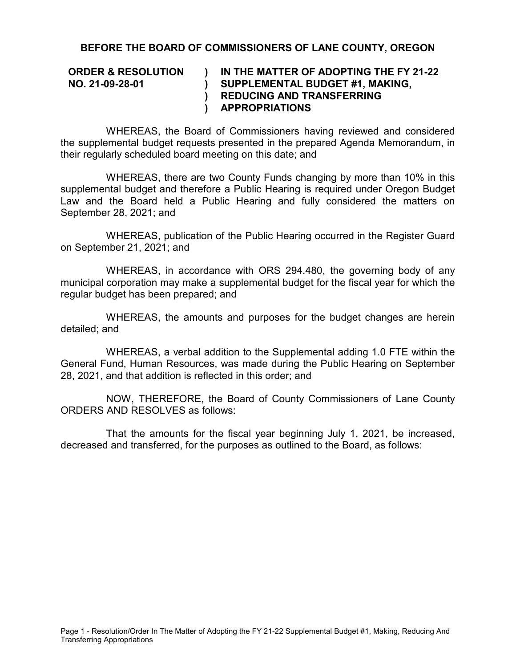## **BEFORE THE BOARD OF COMMISSIONERS OF LANE COUNTY, OREGON**

## **ORDER & RESOLUTION NO. 21-09-28-01 ) ) ) REDUCING AND TRANSFERRING ) IN THE MATTER OF ADOPTING THE FY 21-22 SUPPLEMENTAL BUDGET #1, MAKING, APPROPRIATIONS**

WHEREAS, the Board of Commissioners having reviewed and considered the supplemental budget requests presented in the prepared Agenda Memorandum, in their regularly scheduled board meeting on this date; and

WHEREAS, there are two County Funds changing by more than 10% in this supplemental budget and therefore a Public Hearing is required under Oregon Budget Law and the Board held a Public Hearing and fully considered the matters on September 28, 2021; and

WHEREAS, publication of the Public Hearing occurred in the Register Guard on September 21, 2021; and

WHEREAS, in accordance with ORS 294.480, the governing body of any municipal corporation may make a supplemental budget for the fiscal year for which the regular budget has been prepared; and

WHEREAS, the amounts and purposes for the budget changes are herein detailed; and

WHEREAS, a verbal addition to the Supplemental adding 1.0 FTE within the General Fund, Human Resources, was made during the Public Hearing on September 28, 2021, and that addition is reflected in this order; and

NOW, THEREFORE, the Board of County Commissioners of Lane County ORDERS AND RESOLVES as follows:

That the amounts for the fiscal year beginning July 1, 2021, be increased, decreased and transferred, for the purposes as outlined to the Board, as follows: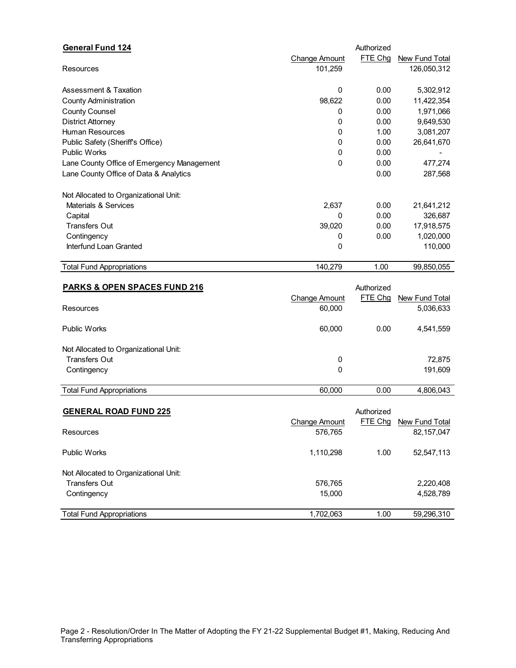| <b>General Fund 124</b>                    |                      | Authorized |                |
|--------------------------------------------|----------------------|------------|----------------|
|                                            | <b>Change Amount</b> | FTE Chg    | New Fund Total |
| <b>Resources</b>                           | 101,259              |            | 126,050,312    |
| Assessment & Taxation                      | $\Omega$             | 0.00       | 5,302,912      |
| <b>County Administration</b>               | 98,622               | 0.00       | 11,422,354     |
| <b>County Counsel</b>                      | 0                    | 0.00       | 1,971,066      |
| <b>District Attorney</b>                   | 0                    | 0.00       | 9,649,530      |
| <b>Human Resources</b>                     | 0                    | 1.00       | 3,081,207      |
| Public Safety (Sheriff's Office)           | 0                    | 0.00       | 26,641,670     |
| <b>Public Works</b>                        | 0                    | 0.00       |                |
| Lane County Office of Emergency Management | 0                    | 0.00       | 477,274        |
| Lane County Office of Data & Analytics     |                      | 0.00       | 287,568        |
|                                            |                      |            |                |
| Not Allocated to Organizational Unit:      |                      |            |                |
| Materials & Services                       | 2,637                | 0.00       | 21,641,212     |
| Capital                                    | 0                    | 0.00       | 326,687        |
| <b>Transfers Out</b>                       | 39,020               | 0.00       | 17,918,575     |
| Contingency                                | 0                    | 0.00       | 1,020,000      |
| Interfund Loan Granted                     | 0                    |            | 110,000        |
| <b>Total Fund Appropriations</b>           | 140,279              | 1.00       | 99,850,055     |
|                                            |                      |            |                |
| <b>PARKS &amp; OPEN SPACES FUND 216</b>    |                      | Authorized |                |
|                                            | Change Amount        | FTE Chg    | New Fund Total |
| Resources                                  | 60,000               |            | 5,036,633      |
| <b>Public Works</b>                        | 60,000               | 0.00       | 4,541,559      |
| Not Allocated to Organizational Unit:      |                      |            |                |
| <b>Transfers Out</b>                       | 0                    |            | 72,875         |
| Contingency                                | 0                    |            | 191,609        |

| -<br>Appropriations<br>∙und<br>l otal<br>. | .000<br>60 | 0.00 | . .<br>.80F<br>$\mathbf{r}$ |
|--------------------------------------------|------------|------|-----------------------------|
|                                            |            |      |                             |

| <b>GENERAL ROAD FUND 225</b>          |               | Authorized |                |
|---------------------------------------|---------------|------------|----------------|
|                                       | Change Amount | FTE Chg    | New Fund Total |
| <b>Resources</b>                      | 576,765       |            | 82, 157, 047   |
| <b>Public Works</b>                   | 1,110,298     | 1.00       | 52,547,113     |
| Not Allocated to Organizational Unit: |               |            |                |
| Transfers Out                         | 576,765       |            | 2,220,408      |
| Contingency                           | 15.000        |            | 4,528,789      |
| <b>Total Fund Appropriations</b>      | 1,702,063     | 1.00       | 59,296,310     |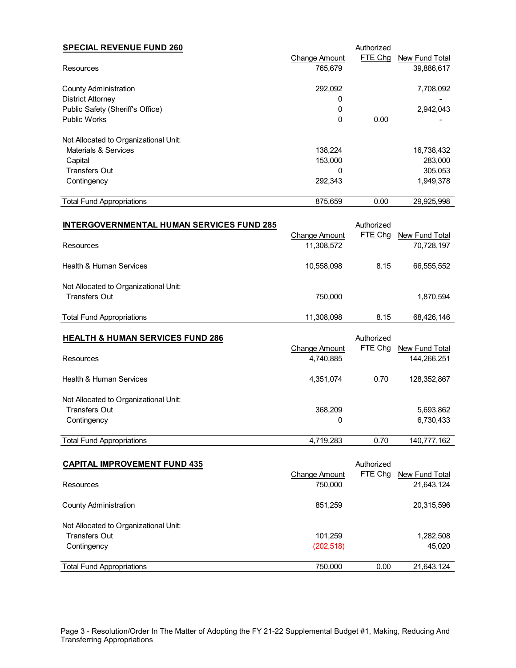| <b>SPECIAL REVENUE FUND 260</b>                                          | <b>Change Amount</b> | Authorized<br>FTE Chg | New Fund Total |
|--------------------------------------------------------------------------|----------------------|-----------------------|----------------|
| Resources                                                                | 765,679              |                       | 39,886,617     |
| <b>County Administration</b>                                             | 292,092              |                       | 7,708,092      |
| <b>District Attorney</b><br>Public Safety (Sheriff's Office)             | 0<br>0               |                       | 2,942,043      |
| <b>Public Works</b>                                                      | 0                    | 0.00                  |                |
|                                                                          |                      |                       |                |
| Not Allocated to Organizational Unit:<br><b>Materials &amp; Services</b> | 138,224              |                       | 16,738,432     |
| Capital                                                                  | 153,000              |                       | 283,000        |
| <b>Transfers Out</b>                                                     | 0                    |                       | 305,053        |
| Contingency                                                              | 292,343              |                       | 1,949,378      |
|                                                                          |                      |                       |                |
| <b>Total Fund Appropriations</b>                                         | 875,659              | 0.00                  | 29,925,998     |
| <b>INTERGOVERNMENTAL HUMAN SERVICES FUND 285</b>                         |                      | Authorized            |                |
|                                                                          | <b>Change Amount</b> | FTE Chg               | New Fund Total |
| Resources                                                                | 11,308,572           |                       | 70,728,197     |
| <b>Health &amp; Human Services</b>                                       | 10,558,098           | 8.15                  | 66,555,552     |
| Not Allocated to Organizational Unit:                                    |                      |                       |                |
| <b>Transfers Out</b>                                                     | 750,000              |                       | 1,870,594      |
| <b>Total Fund Appropriations</b>                                         | 11,308,098           | 8.15                  | 68,426,146     |
| <b>HEALTH &amp; HUMAN SERVICES FUND 286</b>                              |                      | Authorized            |                |
|                                                                          | <b>Change Amount</b> | FTE Chg               | New Fund Total |
| Resources                                                                | 4,740,885            |                       | 144,266,251    |
| <b>Health &amp; Human Services</b>                                       | 4,351,074            | 0.70                  | 128,352,867    |
| Not Allocated to Organizational Unit:                                    |                      |                       |                |
| <b>Transfers Out</b>                                                     | 368,209              |                       | 5,693,862      |
| Contingency                                                              | 0                    |                       | 6,730,433      |
| <b>Total Fund Appropriations</b>                                         | 4,719,283            | 0.70                  | 140,777,162    |
|                                                                          |                      |                       |                |
| <b>CAPITAL IMPROVEMENT FUND 435</b>                                      |                      | Authorized            |                |
|                                                                          | <b>Change Amount</b> | FTE Chg               | New Fund Total |
| Resources                                                                | 750,000              |                       | 21,643,124     |

| <b>County Administration</b>          | 851,259    |      | 20,315,596 |
|---------------------------------------|------------|------|------------|
| Not Allocated to Organizational Unit: |            |      |            |
| <b>Transfers Out</b>                  | 101.259    |      | 1,282,508  |
| Contingency                           | (202, 518) |      | 45,020     |
| <b>Total Fund Appropriations</b>      | 750,000    | 0.00 | 21,643,124 |
|                                       |            |      |            |